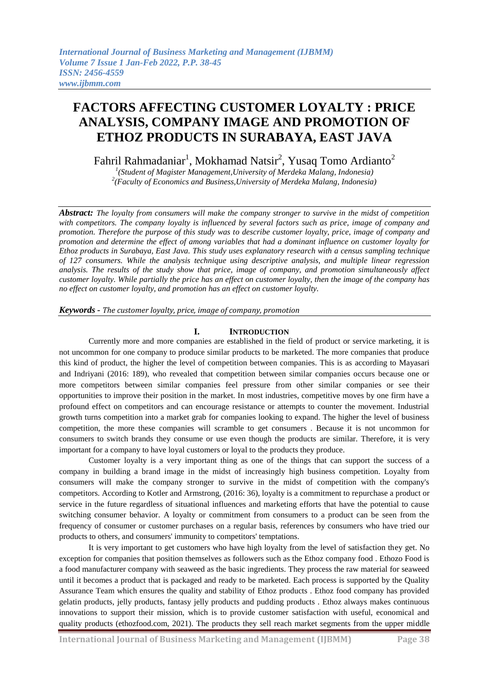# **FACTORS AFFECTING CUSTOMER LOYALTY : PRICE ANALYSIS, COMPANY IMAGE AND PROMOTION OF ETHOZ PRODUCTS IN SURABAYA, EAST JAVA**

Fahril Rahmadaniar<sup>1</sup>, Mokhamad Natsir<sup>2</sup>, Yusaq Tomo Ardianto<sup>2</sup>

*1 (Student of Magister Management,University of Merdeka Malang, Indonesia) 2 (Faculty of Economics and Business,University of Merdeka Malang, Indonesia)*

*Abstract: The loyalty from consumers will make the company stronger to survive in the midst of competition with competitors. The company loyalty is influenced by several factors such as price, image of company and promotion. Therefore the purpose of this study was to describe customer loyalty, price, image of company and promotion and determine the effect of among variables that had a dominant influence on customer loyalty for Ethoz products in Surabaya, East Java. This study uses explanatory research with a census sampling technique of 127 consumers. While the analysis technique using descriptive analysis, and multiple linear regression analysis. The results of the study show that price, image of company, and promotion simultaneously affect customer loyalty. While partially the price has an effect on customer loyalty, then the image of the company has no effect on customer loyalty, and promotion has an effect on customer loyalty.*

*Keywords - The customer loyalty, price, image of company, promotion*

### **I. INTRODUCTION**

Currently more and more companies are established in the field of product or service marketing, it is not uncommon for one company to produce similar products to be marketed. The more companies that produce this kind of product, the higher the level of competition between companies. This is as according to Mayasari and Indriyani (2016: 189), who revealed that competition between similar companies occurs because one or more competitors between similar companies feel pressure from other similar companies or see their opportunities to improve their position in the market. In most industries, competitive moves by one firm have a profound effect on competitors and can encourage resistance or attempts to counter the movement. Industrial growth turns competition into a market grab for companies looking to expand. The higher the level of business competition, the more these companies will scramble to get consumers . Because it is not uncommon for consumers to switch brands they consume or use even though the products are similar. Therefore, it is very important for a company to have loyal customers or loyal to the products they produce.

Customer loyalty is a very important thing as one of the things that can support the success of a company in building a brand image in the midst of increasingly high business competition. Loyalty from consumers will make the company stronger to survive in the midst of competition with the company's competitors. According to Kotler and Armstrong, (2016: 36), loyalty is a commitment to repurchase a product or service in the future regardless of situational influences and marketing efforts that have the potential to cause switching consumer behavior. A loyalty or commitment from consumers to a product can be seen from the frequency of consumer or customer purchases on a regular basis, references by consumers who have tried our products to others, and consumers' immunity to competitors' temptations.

It is very important to get customers who have high loyalty from the level of satisfaction they get. No exception for companies that position themselves as followers such as the Ethoz company food . Ethozo Food is a food manufacturer company with seaweed as the basic ingredients. They process the raw material for seaweed until it becomes a product that is packaged and ready to be marketed. Each process is supported by the Quality Assurance Team which ensures the quality and stability of Ethoz products . Ethoz food company has provided gelatin products, jelly products, fantasy jelly products and pudding products . Ethoz always makes continuous innovations to support their mission, which is to provide customer satisfaction with useful, economical and quality products (ethozfood.com, 2021). The products they sell reach market segments from the upper middle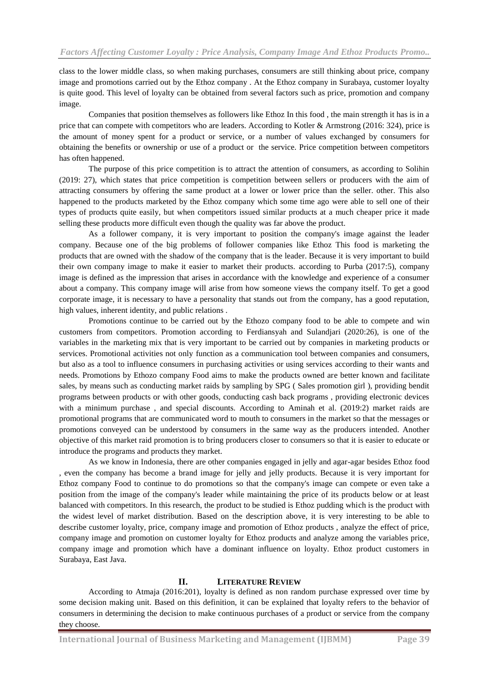class to the lower middle class, so when making purchases, consumers are still thinking about price, company image and promotions carried out by the Ethoz company . At the Ethoz company in Surabaya, customer loyalty is quite good. This level of loyalty can be obtained from several factors such as price, promotion and company image.

Companies that position themselves as followers like Ethoz In this food , the main strength it has is in a price that can compete with competitors who are leaders. According to Kotler & Armstrong (2016: 324), price is the amount of money spent for a product or service, or a number of values exchanged by consumers for obtaining the benefits or ownership or use of a product or the service. Price competition between competitors has often happened.

The purpose of this price competition is to attract the attention of consumers, as according to Solihin (2019: 27), which states that price competition is competition between sellers or producers with the aim of attracting consumers by offering the same product at a lower or lower price than the seller. other. This also happened to the products marketed by the Ethoz company which some time ago were able to sell one of their types of products quite easily, but when competitors issued similar products at a much cheaper price it made selling these products more difficult even though the quality was far above the product.

As a follower company, it is very important to position the company's image against the leader company. Because one of the big problems of follower companies like Ethoz This food is marketing the products that are owned with the shadow of the company that is the leader. Because it is very important to build their own company image to make it easier to market their products. according to Purba (2017:5), company image is defined as the impression that arises in accordance with the knowledge and experience of a consumer about a company. This company image will arise from how someone views the company itself. To get a good corporate image, it is necessary to have a personality that stands out from the company, has a good reputation, high values, inherent identity, and public relations .

Promotions continue to be carried out by the Ethozo company food to be able to compete and win customers from competitors. Promotion according to Ferdiansyah and Sulandjari (2020:26), is one of the variables in the marketing mix that is very important to be carried out by companies in marketing products or services. Promotional activities not only function as a communication tool between companies and consumers, but also as a tool to influence consumers in purchasing activities or using services according to their wants and needs. Promotions by Ethozo company Food aims to make the products owned are better known and facilitate sales, by means such as conducting market raids by sampling by SPG ( Sales promotion girl ), providing bendit programs between products or with other goods, conducting cash back programs , providing electronic devices with a minimum purchase , and special discounts. According to Aminah et al. (2019:2) market raids are promotional programs that are communicated word to mouth to consumers in the market so that the messages or promotions conveyed can be understood by consumers in the same way as the producers intended. Another objective of this market raid promotion is to bring producers closer to consumers so that it is easier to educate or introduce the programs and products they market.

As we know in Indonesia, there are other companies engaged in jelly and agar-agar besides Ethoz food , even the company has become a brand image for jelly and jelly products. Because it is very important for Ethoz company Food to continue to do promotions so that the company's image can compete or even take a position from the image of the company's leader while maintaining the price of its products below or at least balanced with competitors. In this research, the product to be studied is Ethoz pudding which is the product with the widest level of market distribution. Based on the description above, it is very interesting to be able to describe customer loyalty, price, company image and promotion of Ethoz products , analyze the effect of price, company image and promotion on customer loyalty for Ethoz products and analyze among the variables price, company image and promotion which have a dominant influence on loyalty. Ethoz product customers in Surabaya, East Java.

### **II. LITERATURE REVIEW**

According to Atmaja (2016:201), loyalty is defined as non random purchase expressed over time by some decision making unit. Based on this definition, it can be explained that loyalty refers to the behavior of consumers in determining the decision to make continuous purchases of a product or service from the company they choose.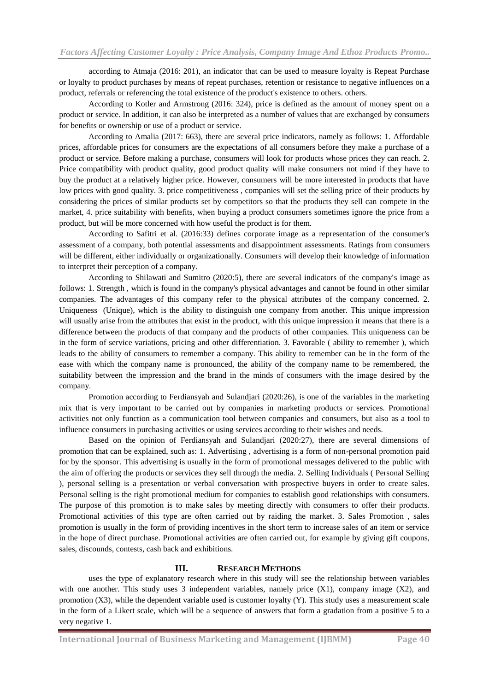according to Atmaja (2016: 201), an indicator that can be used to measure loyalty is Repeat Purchase or loyalty to product purchases by means of repeat purchases, retention or resistance to negative influences on a product, referrals or referencing the total existence of the product's existence to others. others.

According to Kotler and Armstrong (2016: 324), price is defined as the amount of money spent on a product or service. In addition, it can also be interpreted as a number of values that are exchanged by consumers for benefits or ownership or use of a product or service.

According to Amalia (2017: 663), there are several price indicators, namely as follows: 1. Affordable prices, affordable prices for consumers are the expectations of all consumers before they make a purchase of a product or service. Before making a purchase, consumers will look for products whose prices they can reach. 2. Price compatibility with product quality, good product quality will make consumers not mind if they have to buy the product at a relatively higher price. However, consumers will be more interested in products that have low prices with good quality. 3. price competitiveness , companies will set the selling price of their products by considering the prices of similar products set by competitors so that the products they sell can compete in the market, 4. price suitability with benefits, when buying a product consumers sometimes ignore the price from a product, but will be more concerned with how useful the product is for them.

According to Safitri et al. (2016:33) defines corporate image as a representation of the consumer's assessment of a company, both potential assessments and disappointment assessments. Ratings from consumers will be different, either individually or organizationally. Consumers will develop their knowledge of information to interpret their perception of a company.

According to Shilawati and Sumitro (2020:5), there are several indicators of the company's image as follows: 1. Strength , which is found in the company's physical advantages and cannot be found in other similar companies. The advantages of this company refer to the physical attributes of the company concerned. 2. Uniqueness (Unique), which is the ability to distinguish one company from another. This unique impression will usually arise from the attributes that exist in the product, with this unique impression it means that there is a difference between the products of that company and the products of other companies. This uniqueness can be in the form of service variations, pricing and other differentiation. 3. Favorable ( ability to remember ), which leads to the ability of consumers to remember a company. This ability to remember can be in the form of the ease with which the company name is pronounced, the ability of the company name to be remembered, the suitability between the impression and the brand in the minds of consumers with the image desired by the company.

Promotion according to Ferdiansyah and Sulandjari (2020:26), is one of the variables in the marketing mix that is very important to be carried out by companies in marketing products or services. Promotional activities not only function as a communication tool between companies and consumers, but also as a tool to influence consumers in purchasing activities or using services according to their wishes and needs.

Based on the opinion of Ferdiansyah and Sulandjari (2020:27), there are several dimensions of promotion that can be explained, such as: 1. Advertising , advertising is a form of non-personal promotion paid for by the sponsor. This advertising is usually in the form of promotional messages delivered to the public with the aim of offering the products or services they sell through the media. 2. Selling Individuals ( Personal Selling ), personal selling is a presentation or verbal conversation with prospective buyers in order to create sales. Personal selling is the right promotional medium for companies to establish good relationships with consumers. The purpose of this promotion is to make sales by meeting directly with consumers to offer their products. Promotional activities of this type are often carried out by raiding the market. 3. Sales Promotion , sales promotion is usually in the form of providing incentives in the short term to increase sales of an item or service in the hope of direct purchase. Promotional activities are often carried out, for example by giving gift coupons, sales, discounds, contests, cash back and exhibitions.

### **III. RESEARCH METHODS**

uses the type of explanatory research where in this study will see the relationship between variables with one another. This study uses 3 independent variables, namely price  $(X1)$ , company image  $(X2)$ , and promotion (X3), while the dependent variable used is customer loyalty (Y). This study uses a measurement scale in the form of a Likert scale, which will be a sequence of answers that form a gradation from a positive 5 to a very negative 1.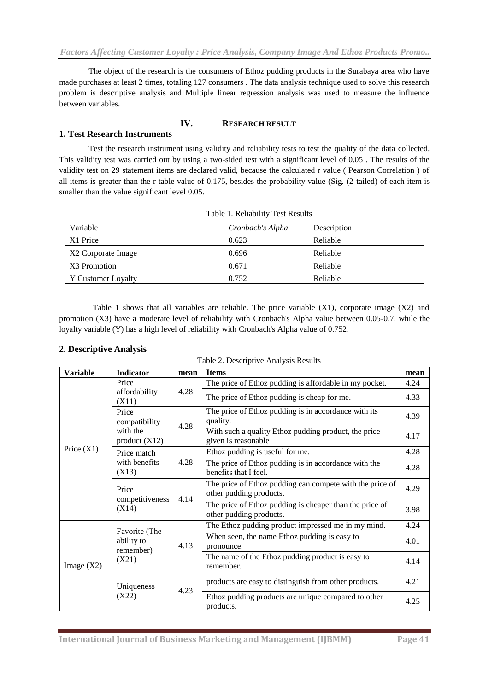The object of the research is the consumers of Ethoz pudding products in the Surabaya area who have made purchases at least 2 times, totaling 127 consumers . The data analysis technique used to solve this research problem is descriptive analysis and Multiple linear regression analysis was used to measure the influence between variables.

# **IV. RESEARCH RESULT**

**1. Test Research Instruments**

Test the research instrument using validity and reliability tests to test the quality of the data collected. This validity test was carried out by using a two-sided test with a significant level of 0.05 . The results of the validity test on 29 statement items are declared valid, because the calculated r value ( Pearson Correlation ) of all items is greater than the r table value of 0.175, besides the probability value (Sig. (2-tailed) of each item is smaller than the value significant level 0.05.

| Variable           | Cronbach's Alpha | Description |  |  |  |
|--------------------|------------------|-------------|--|--|--|
| X1 Price           | 0.623            | Reliable    |  |  |  |
| X2 Corporate Image | 0.696            | Reliable    |  |  |  |
| X3 Promotion       | 0.671            | Reliable    |  |  |  |
| Y Customer Loyalty | 0.752            | Reliable    |  |  |  |

|--|

 Table 1 shows that all variables are reliable. The price variable (X1), corporate image (X2) and promotion (X3) have a moderate level of reliability with Cronbach's Alpha value between 0.05-0.7, while the loyalty variable (Y) has a high level of reliability with Cronbach's Alpha value of 0.752.

### **2. Descriptive Analysis**

|  | Table 2. Descriptive Analysis Results |  |
|--|---------------------------------------|--|
|  |                                       |  |

| <b>Variable</b> | <b>Indicator</b>                                  | mean | <b>Items</b>                                                                        |      |
|-----------------|---------------------------------------------------|------|-------------------------------------------------------------------------------------|------|
|                 | Price                                             | 4.28 | The price of Ethoz pudding is affordable in my pocket.                              |      |
| Price $(X1)$    | affordability<br>(X11)                            |      | The price of Ethoz pudding is cheap for me.                                         | 4.33 |
|                 | Price<br>compatibility                            | 4.28 | The price of Ethoz pudding is in accordance with its<br>quality.                    | 4.39 |
|                 | with the<br>product $(X12)$                       |      | With such a quality Ethoz pudding product, the price<br>given is reasonable         | 4.17 |
|                 | Price match                                       | 4.28 | Ethoz pudding is useful for me.                                                     | 4.28 |
|                 | with benefits<br>(X13)                            |      | The price of Ethoz pudding is in accordance with the<br>benefits that I feel.       | 4.28 |
|                 | Price<br>competitiveness<br>(X14)                 | 4.14 | The price of Ethoz pudding can compete with the price of<br>other pudding products. |      |
|                 |                                                   |      | The price of Ethoz pudding is cheaper than the price of<br>other pudding products.  | 3.98 |
|                 | Favorite (The<br>ability to<br>remember)<br>(X21) | 4.13 | The Ethoz pudding product impressed me in my mind.                                  | 4.24 |
| Image $(X2)$    |                                                   |      | When seen, the name Ethoz pudding is easy to<br>pronounce.                          |      |
|                 |                                                   |      | The name of the Ethoz pudding product is easy to<br>remember.                       | 4.14 |
|                 | Uniqueness                                        | 4.23 | products are easy to distinguish from other products.                               |      |
|                 | (X22)                                             |      | Ethoz pudding products are unique compared to other<br>products.                    | 4.25 |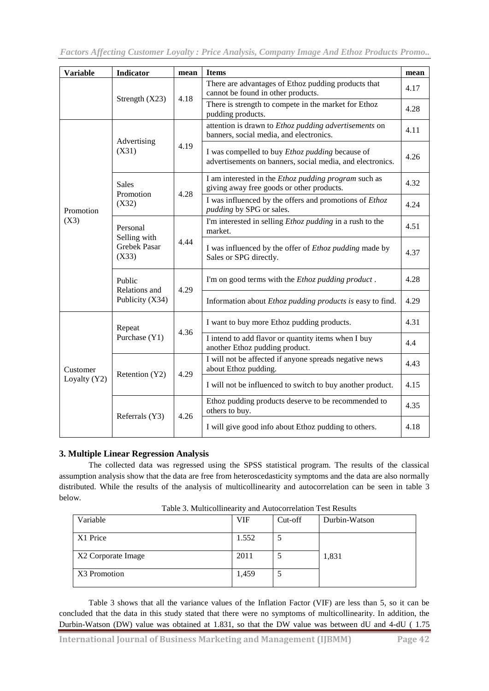| <b>Variable</b>          | Indicator                                         | mean | <b>Items</b>                                                                                                 | mean |  |
|--------------------------|---------------------------------------------------|------|--------------------------------------------------------------------------------------------------------------|------|--|
|                          |                                                   | 4.18 | There are advantages of Ethoz pudding products that<br>cannot be found in other products.                    |      |  |
|                          | Strength (X23)                                    |      | There is strength to compete in the market for Ethoz<br>pudding products.                                    |      |  |
| Promotion<br>(X3)        | Advertising<br>(X31)                              | 4.19 | attention is drawn to Ethoz pudding advertisements on<br>banners, social media, and electronics.             | 4.11 |  |
|                          |                                                   |      | I was compelled to buy Ethoz pudding because of<br>advertisements on banners, social media, and electronics. | 4.26 |  |
|                          | <b>Sales</b><br>Promotion<br>(X32)                | 4.28 | I am interested in the Ethoz pudding program such as<br>giving away free goods or other products.            |      |  |
|                          |                                                   |      | I was influenced by the offers and promotions of <i>Ethoz</i><br>pudding by SPG or sales.                    | 4.24 |  |
|                          | Personal<br>Selling with<br>Grebek Pasar<br>(X33) | 4.44 | I'm interested in selling <i>Ethoz pudding</i> in a rush to the<br>market.                                   | 4.51 |  |
|                          |                                                   |      | I was influenced by the offer of <i>Ethoz pudding</i> made by<br>Sales or SPG directly.                      | 4.37 |  |
|                          | Public<br>Relations and<br>Publicity (X34)        | 4.29 | I'm on good terms with the <i>Ethoz pudding product</i> .                                                    |      |  |
|                          |                                                   |      | Information about <i>Ethoz pudding products is</i> easy to find.                                             | 4.29 |  |
| Customer<br>Loyalty (Y2) | Repeat<br>Purchase (Y1)                           | 4.36 | I want to buy more Ethoz pudding products.                                                                   | 4.31 |  |
|                          |                                                   |      | I intend to add flavor or quantity items when I buy<br>another Ethoz pudding product.                        | 4.4  |  |
|                          | Retention (Y2)                                    | 4.29 | I will not be affected if anyone spreads negative news<br>about Ethoz pudding.                               | 4.43 |  |
|                          |                                                   |      | I will not be influenced to switch to buy another product.                                                   | 4.15 |  |
|                          | Referrals (Y3)                                    | 4.26 | Ethoz pudding products deserve to be recommended to<br>others to buy.                                        | 4.35 |  |
|                          |                                                   |      | I will give good info about Ethoz pudding to others.                                                         | 4.18 |  |

## **3. Multiple Linear Regression Analysis**

The collected data was regressed using the SPSS statistical program. The results of the classical assumption analysis show that the data are free from heteroscedasticity symptoms and the data are also normally distributed. While the results of the analysis of multicollinearity and autocorrelation can be seen in table 3 below.

| Variable           | <b>VIF</b> | Cut-off | Durbin-Watson |
|--------------------|------------|---------|---------------|
| X1 Price           | 1.552      |         |               |
| X2 Corporate Image | 2011       |         | 1,831         |
| X3 Promotion       | 1,459      |         |               |

Table 3. Multicollinearity and Autocorrelation Test Results

Table 3 shows that all the variance values of the Inflation Factor (VIF) are less than 5, so it can be concluded that the data in this study stated that there were no symptoms of multicollinearity. In addition, the Durbin-Watson (DW) value was obtained at 1.831, so that the DW value was between dU and 4-dU ( 1.75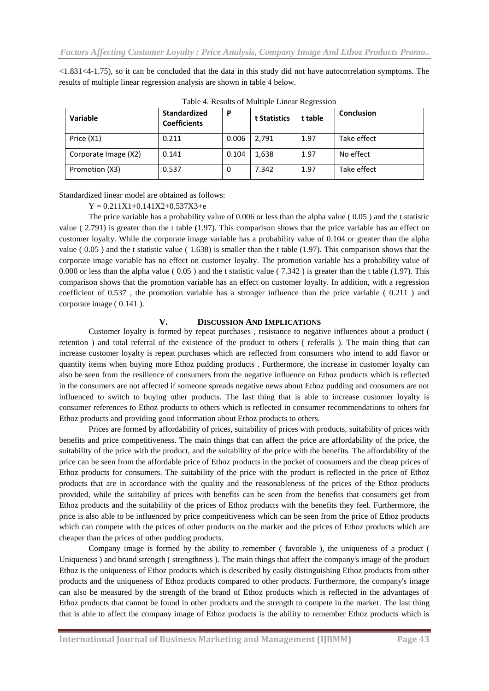<1.831<4-1.75), so it can be concluded that the data in this study did not have autocorrelation symptoms. The results of multiple linear regression analysis are shown in table 4 below.

| Tuble 1. Results of Multiple Emeat Regression |                                            |       |              |         |             |  |  |
|-----------------------------------------------|--------------------------------------------|-------|--------------|---------|-------------|--|--|
| Variable                                      | <b>Standardized</b><br><b>Coefficients</b> | P     | t Statistics | t table | Conclusion  |  |  |
| Price (X1)                                    | 0.211                                      | 0.006 | 2,791        | 1.97    | Take effect |  |  |
| Corporate Image (X2)                          | 0.141                                      | 0.104 | 1,638        | 1.97    | No effect   |  |  |
| Promotion (X3)                                | 0.537                                      | 0     | 7.342        | 1.97    | Take effect |  |  |

Table 4. Results of Multiple Linear Regression

Standardized linear model are obtained as follows:

 $Y = 0.211X1+0.141X2+0.537X3+e$ 

The price variable has a probability value of 0.006 or less than the alpha value ( 0.05 ) and the t statistic value ( 2.791) is greater than the t table (1.97). This comparison shows that the price variable has an effect on customer loyalty. While the corporate image variable has a probability value of 0.104 or greater than the alpha value ( 0.05 ) and the t statistic value ( 1.638) is smaller than the t table (1.97). This comparison shows that the corporate image variable has no effect on customer loyalty. The promotion variable has a probability value of 0.000 or less than the alpha value ( 0.05 ) and the t statistic value ( 7.342 ) is greater than the t table (1.97). This comparison shows that the promotion variable has an effect on customer loyalty. In addition, with a regression coefficient of 0.537 , the promotion variable has a stronger influence than the price variable ( 0.211 ) and corporate image ( 0.141 ).

#### **V. DISCUSSION AND IMPLICATIONS**

Customer loyalty is formed by repeat purchases , resistance to negative influences about a product ( retention ) and total referral of the existence of the product to others ( referalls ). The main thing that can increase customer loyalty is repeat purchases which are reflected from consumers who intend to add flavor or quantity items when buying more Ethoz pudding products . Furthermore, the increase in customer loyalty can also be seen from the resilience of consumers from the negative influence on Ethoz products which is reflected in the consumers are not affected if someone spreads negative news about Ethoz pudding and consumers are not influenced to switch to buying other products. The last thing that is able to increase customer loyalty is consumer references to Ethoz products to others which is reflected in consumer recommendations to others for Ethoz products and providing good information about Ethoz products to others.

Prices are formed by affordability of prices, suitability of prices with products, suitability of prices with benefits and price competitiveness. The main things that can affect the price are affordability of the price, the suitability of the price with the product, and the suitability of the price with the benefits. The affordability of the price can be seen from the affordable price of Ethoz products in the pocket of consumers and the cheap prices of Ethoz products for consumers. The suitability of the price with the product is reflected in the price of Ethoz products that are in accordance with the quality and the reasonableness of the prices of the Ethoz products provided, while the suitability of prices with benefits can be seen from the benefits that consumers get from Ethoz products and the suitability of the prices of Ethoz products with the benefits they feel. Furthermore, the price is also able to be influenced by price competitiveness which can be seen from the price of Ethoz products which can compete with the prices of other products on the market and the prices of Ethoz products which are cheaper than the prices of other pudding products.

Company image is formed by the ability to remember ( favorable ), the uniqueness of a product ( Uniqueness ) and brand strength ( strengthness ). The main things that affect the company's image of the product Ethoz is the uniqueness of Ethoz products which is described by easily distinguishing Ethoz products from other products and the uniqueness of Ethoz products compared to other products. Furthermore, the company's image can also be measured by the strength of the brand of Ethoz products which is reflected in the advantages of Ethoz products that cannot be found in other products and the strength to compete in the market. The last thing that is able to affect the company image of Ethoz products is the ability to remember Ethoz products which is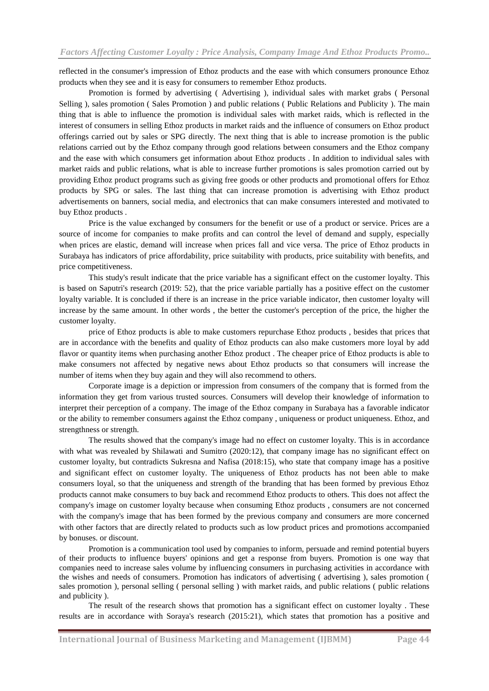reflected in the consumer's impression of Ethoz products and the ease with which consumers pronounce Ethoz products when they see and it is easy for consumers to remember Ethoz products.

Promotion is formed by advertising ( Advertising ), individual sales with market grabs ( Personal Selling ), sales promotion ( Sales Promotion ) and public relations ( Public Relations and Publicity ). The main thing that is able to influence the promotion is individual sales with market raids, which is reflected in the interest of consumers in selling Ethoz products in market raids and the influence of consumers on Ethoz product offerings carried out by sales or SPG directly. The next thing that is able to increase promotion is the public relations carried out by the Ethoz company through good relations between consumers and the Ethoz company and the ease with which consumers get information about Ethoz products . In addition to individual sales with market raids and public relations, what is able to increase further promotions is sales promotion carried out by providing Ethoz product programs such as giving free goods or other products and promotional offers for Ethoz products by SPG or sales. The last thing that can increase promotion is advertising with Ethoz product advertisements on banners, social media, and electronics that can make consumers interested and motivated to buy Ethoz products .

Price is the value exchanged by consumers for the benefit or use of a product or service. Prices are a source of income for companies to make profits and can control the level of demand and supply, especially when prices are elastic, demand will increase when prices fall and vice versa. The price of Ethoz products in Surabaya has indicators of price affordability, price suitability with products, price suitability with benefits, and price competitiveness.

This study's result indicate that the price variable has a significant effect on the customer loyalty. This is based on Saputri's research (2019: 52), that the price variable partially has a positive effect on the customer loyalty variable. It is concluded if there is an increase in the price variable indicator, then customer loyalty will increase by the same amount. In other words , the better the customer's perception of the price, the higher the customer loyalty.

price of Ethoz products is able to make customers repurchase Ethoz products , besides that prices that are in accordance with the benefits and quality of Ethoz products can also make customers more loyal by add flavor or quantity items when purchasing another Ethoz product . The cheaper price of Ethoz products is able to make consumers not affected by negative news about Ethoz products so that consumers will increase the number of items when they buy again and they will also recommend to others.

Corporate image is a depiction or impression from consumers of the company that is formed from the information they get from various trusted sources. Consumers will develop their knowledge of information to interpret their perception of a company. The image of the Ethoz company in Surabaya has a favorable indicator or the ability to remember consumers against the Ethoz company , uniqueness or product uniqueness. Ethoz, and strengthness or strength.

The results showed that the company's image had no effect on customer loyalty. This is in accordance with what was revealed by Shilawati and Sumitro (2020:12), that company image has no significant effect on customer loyalty, but contradicts Sukresna and Nafisa (2018:15), who state that company image has a positive and significant effect on customer loyalty. The uniqueness of Ethoz products has not been able to make consumers loyal, so that the uniqueness and strength of the branding that has been formed by previous Ethoz products cannot make consumers to buy back and recommend Ethoz products to others. This does not affect the company's image on customer loyalty because when consuming Ethoz products , consumers are not concerned with the company's image that has been formed by the previous company and consumers are more concerned with other factors that are directly related to products such as low product prices and promotions accompanied by bonuses. or discount.

Promotion is a communication tool used by companies to inform, persuade and remind potential buyers of their products to influence buyers' opinions and get a response from buyers. Promotion is one way that companies need to increase sales volume by influencing consumers in purchasing activities in accordance with the wishes and needs of consumers. Promotion has indicators of advertising ( advertising ), sales promotion ( sales promotion ), personal selling ( personal selling ) with market raids, and public relations ( public relations and publicity ).

The result of the research shows that promotion has a significant effect on customer loyalty . These results are in accordance with Soraya's research (2015:21), which states that promotion has a positive and